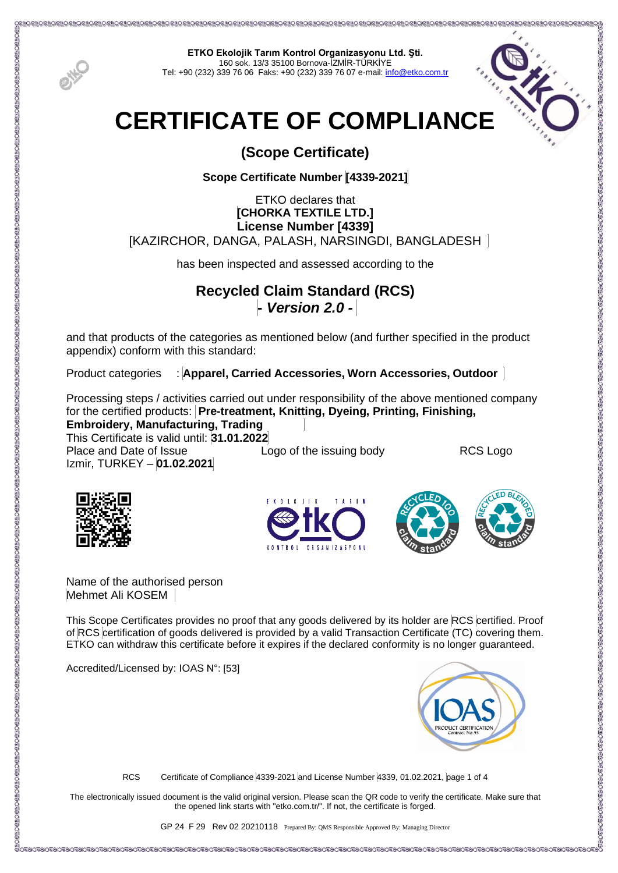

**ETKO Ekolojik Tarım Kontrol Organizasyonu Ltd. Şti.** 160 sok. 13/3 35100 Bornova-İZMİR-TÜRKİYE Tel: +90 (232) 339 76 06 Faks: +90 (232) 339 76 07 e-mail[: info@etko.com.tr](mailto:info@etko.com.tr)



# **(Scope Certificate)**

**Scope Certificate Number [4339-2021]**

## ETKO declares that **[CHORKA TEXTILE LTD.] License Number [4339]** [KAZIRCHOR, DANGA, PALASH, NARSINGDI, BANGLADESH

has been inspected and assessed according to the

## **Recycled Claim Standard (RCS) -** *Version 2.0 -*

and that products of the categories as mentioned below (and further specified in the product appendix) conform with this standard:

Product categories : **Apparel, Carried Accessories, Worn Accessories, Outdoor**

Processing steps / activities carried out under responsibility of the above mentioned company for the certified products: **Pre-treatment, Knitting, Dyeing, Printing, Finishing,** 

**Embroidery, Manufacturing, Trading**  This Certificate is valid until: **31.01.2022**

Place and Date of Issue **Logo of the issuing body** RCS Logo Izmir, TURKEY – **01.02.2021**







Name of the authorised person Mehmet Ali KOSEM

This Scope Certificates provides no proof that any goods delivered by its holder are RCS certified. Proof of RCS certification of goods delivered is provided by a valid Transaction Certificate (TC) covering them. ETKO can withdraw this certificate before it expires if the declared conformity is no longer guaranteed.

Accredited/Licensed by: IOAS N°: [53]



RCS Certificate of Compliance 4339-2021 and License Number 4339, 01.02.2021, page 1 of 4

The electronically issued document is the valid original version. Please scan the QR code to verify the certificate. Make sure that the opened link starts with "etko.com.tr/". If not, the certificate is forged.

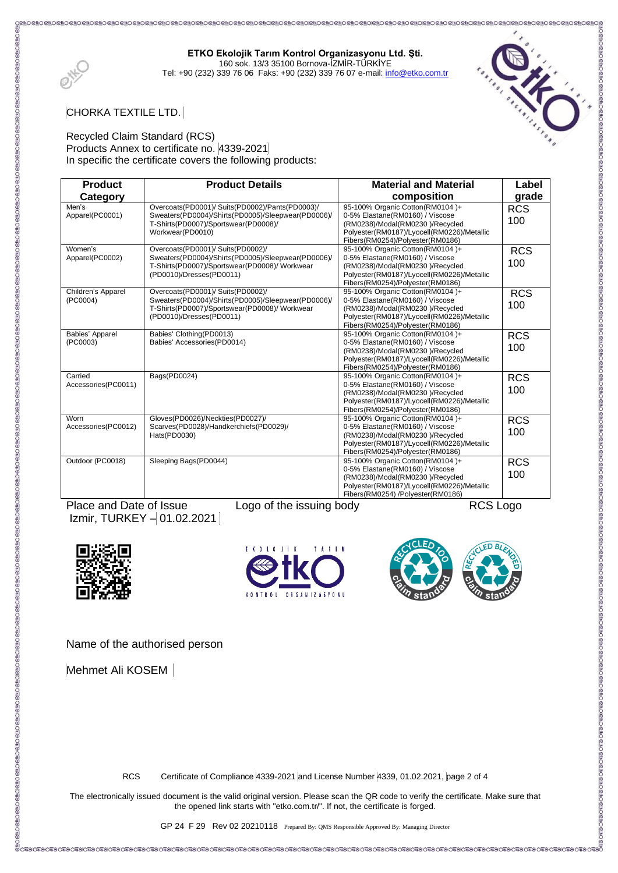**ETKO Ekolojik Tarım Kontrol Organizasyonu Ltd. Şti.** 160 sok. 13/3 35100 Bornova-İZMİR-TÜRKİYE

Tel: +90 (232) 339 76 06 Faks: +90 (232) 339 76 07 e-mail[: info@etko.com.tr](mailto:info@etko.com.tr)



O CHO CHO CHO CHO CHO CHO CH

CHORKA TEXTILE LTD.

#### Recycled Claim Standard (RCS) Products Annex to certificate no. 4339-2021 In specific the certificate covers the following products:

| <b>Product</b>      | <b>Product Details</b>                                   | <b>Material and Material</b>                                                   | Label      |
|---------------------|----------------------------------------------------------|--------------------------------------------------------------------------------|------------|
| Category            |                                                          | composition                                                                    | grade      |
| Men's               | Overcoats(PD0001)/ Suits(PD0002)/Pants(PD0003)/          | 95-100% Organic Cotton(RM0104)+                                                | <b>RCS</b> |
| Apparel(PC0001)     | Sweaters(PD0004)/Shirts(PD0005)/Sleepwear(PD0006)/       | 0-5% Elastane(RM0160) / Viscose                                                | 100        |
|                     | T-Shirts(PD0007)/Sportswear(PD0008)/<br>Workwear(PD0010) | (RM0238)/Modal(RM0230)/Recycled<br>Polyester(RM0187)/Lyocell(RM0226)/Metallic  |            |
|                     |                                                          | Fibers(RM0254)/Polyester(RM0186)                                               |            |
| Women's             | Overcoats(PD0001)/ Suits(PD0002)/                        | 95-100% Organic Cotton(RM0104)+                                                | <b>RCS</b> |
| Apparel(PC0002)     | Sweaters(PD0004)/Shirts(PD0005)/Sleepwear(PD0006)/       | 0-5% Elastane(RM0160) / Viscose                                                |            |
|                     | T-Shirts(PD0007)/Sportswear(PD0008)/ Workwear            | (RM0238)/Modal(RM0230)/Recycled                                                | 100        |
|                     | (PD0010)/Dresses(PD0011)                                 | Polyester(RM0187)/Lyocell(RM0226)/Metallic                                     |            |
|                     |                                                          | Fibers(RM0254)/Polyester(RM0186)                                               |            |
| Children's Apparel  | Overcoats(PD0001)/ Suits(PD0002)/                        | 95-100% Organic Cotton(RM0104)+                                                | <b>RCS</b> |
| (PC0004)            | Sweaters(PD0004)/Shirts(PD0005)/Sleepwear(PD0006)/       | 0-5% Elastane(RM0160) / Viscose                                                | 100        |
|                     | T-Shirts(PD0007)/Sportswear(PD0008)/ Workwear            | (RM0238)/Modal(RM0230)/Recycled                                                |            |
|                     | (PD0010)/Dresses(PD0011)                                 | Polyester(RM0187)/Lyocell(RM0226)/Metallic<br>Fibers(RM0254)/Polyester(RM0186) |            |
| Babies' Apparel     | Babies' Clothing(PD0013)                                 | 95-100% Organic Cotton(RM0104)+                                                | <b>RCS</b> |
| (PC0003)            | Babies' Accessories(PD0014)                              | 0-5% Elastane(RM0160) / Viscose                                                |            |
|                     |                                                          | (RM0238)/Modal(RM0230)/Recycled                                                | 100        |
|                     |                                                          | Polyester(RM0187)/Lyocell(RM0226)/Metallic                                     |            |
|                     |                                                          | Fibers(RM0254)/Polyester(RM0186)                                               |            |
| Carried             | Bags(PD0024)                                             | 95-100% Organic Cotton(RM0104)+                                                | <b>RCS</b> |
| Accessories(PC0011) |                                                          | 0-5% Elastane(RM0160) / Viscose                                                | 100        |
|                     |                                                          | (RM0238)/Modal(RM0230)/Recycled                                                |            |
|                     |                                                          | Polyester(RM0187)/Lyocell(RM0226)/Metallic<br>Fibers(RM0254)/Polyester(RM0186) |            |
| Worn                | Gloves(PD0026)/Neckties(PD0027)/                         | 95-100% Organic Cotton(RM0104)+                                                |            |
| Accessories(PC0012) | Scarves(PD0028)/Handkerchiefs(PD0029)/                   | 0-5% Elastane(RM0160) / Viscose                                                | <b>RCS</b> |
|                     | Hats(PD0030)                                             | (RM0238)/Modal(RM0230)/Recycled                                                | 100        |
|                     |                                                          | Polyester(RM0187)/Lyocell(RM0226)/Metallic                                     |            |
|                     |                                                          | Fibers(RM0254)/Polyester(RM0186)                                               |            |
| Outdoor (PC0018)    | Sleeping Bags(PD0044)                                    | 95-100% Organic Cotton(RM0104)+                                                | <b>RCS</b> |
|                     |                                                          | 0-5% Elastane(RM0160) / Viscose                                                | 100        |
|                     |                                                          | (RM0238)/Modal(RM0230)/Recycled                                                |            |
|                     |                                                          | Polyester(RM0187)/Lyocell(RM0226)/Metallic                                     |            |
|                     |                                                          | Fibers(RM0254) /Polyester(RM0186)                                              |            |

Place and Date of Issue Logo of the issuing body RCS Logo Izmir, TURKEY - 01.02.2021







Name of the authorised person

Mehmet Ali KOSEM

RCS Certificate of Compliance 4339-2021 and License Number 4339, 01.02.2021, page 2 of 4

The electronically issued document is the valid original version. Please scan the QR code to verify the certificate. Make sure that the opened link starts with "etko.com.tr/". If not, the certificate is forged.

GP 24 F 29 Rev 02 20210118 Prepared By: QMS Responsible Approved By: Managing Director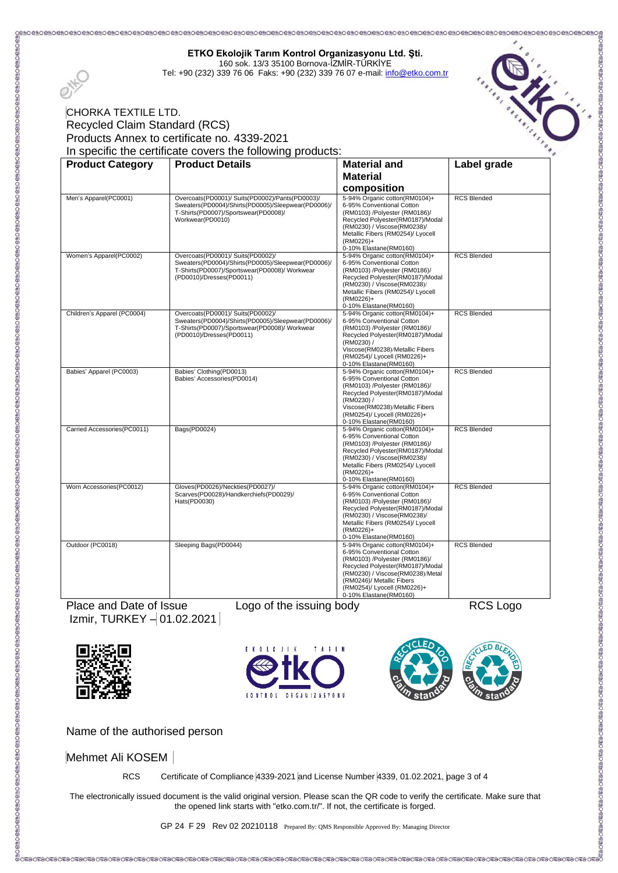| Recycled Claim Standard (RCS)<br>Products Annex to certificate no. 4339-2021 |                                                                                                                                                                      |                                                                                                                                                                                                                                                           |                                                  |
|------------------------------------------------------------------------------|----------------------------------------------------------------------------------------------------------------------------------------------------------------------|-----------------------------------------------------------------------------------------------------------------------------------------------------------------------------------------------------------------------------------------------------------|--------------------------------------------------|
|                                                                              |                                                                                                                                                                      |                                                                                                                                                                                                                                                           | The Concept of Chancer of the Concept of Chancer |
|                                                                              | In specific the certificate covers the following products:                                                                                                           |                                                                                                                                                                                                                                                           |                                                  |
|                                                                              |                                                                                                                                                                      |                                                                                                                                                                                                                                                           |                                                  |
| <b>Product Category</b>                                                      | <b>Product Details</b>                                                                                                                                               | <b>Material and</b>                                                                                                                                                                                                                                       | Label grade                                      |
|                                                                              |                                                                                                                                                                      | <b>Material</b>                                                                                                                                                                                                                                           |                                                  |
|                                                                              |                                                                                                                                                                      | composition                                                                                                                                                                                                                                               |                                                  |
| Men's Apparel(PC0001)                                                        | Overcoats(PD0001)/ Suits(PD0002)/Pants(PD0003)/<br>Sweaters(PD0004)/Shirts(PD0005)/Sleepwear(PD0006)/<br>T-Shirts(PD0007)/Sportswear(PD0008)/<br>Workwear(PD0010)    | 5-94% Organic cotton(RM0104)+<br>6-95% Conventional Cotton<br>(RM0103) /Polyester (RM0186)/<br>Recycled Polyester(RM0187)/Modal<br>(RM0230) / Viscose(RM0238)/<br>Metallic Fibers (RM0254)/ Lyocell<br>(RM0226)+<br>0-10% Elastane(RM0160)                | <b>RCS Blended</b>                               |
| Women's Apparel(PC0002)                                                      | Overcoats(PD0001)/ Suits(PD0002)/<br>Sweaters(PD0004)/Shirts(PD0005)/Sleepwear(PD0006)/<br>T-Shirts(PD0007)/Sportswear(PD0008)/ Workwear<br>(PD0010)/Dresses(PD0011) | 5-94% Organic cotton(RM0104)+<br>6-95% Conventional Cotton<br>(RM0103) /Polyester (RM0186)/<br>Recycled Polyester(RM0187)/Modal<br>(RM0230) / Viscose(RM0238)/<br>Metallic Fibers (RM0254)/ Lyocell<br>(RM0226)+<br>0-10% Elastane(RM0160)                | <b>RCS Blended</b>                               |
| Children's Apparel (PC0004)                                                  | Overcoats(PD0001)/ Suits(PD0002)/<br>Sweaters(PD0004)/Shirts(PD0005)/Sleepwear(PD0006)/<br>T-Shirts(PD0007)/Sportswear(PD0008)/Workwear<br>(PD0010)/Dresses(PD0011)  | 5-94% Organic cotton(RM0104)+<br>6-95% Conventional Cotton<br>(RM0103) /Polyester (RM0186)/<br>Recycled Polyester(RM0187)/Modal<br>(RM0230) /<br>Viscose(RM0238)/Metallic Fibers<br>(RM0254)/ Lyocell (RM0226)+<br>0-10% Elastane(RM0160)                 | <b>RCS Blended</b>                               |
| Babies' Apparel (PC0003)                                                     | Babies' Clothing (PD0013)<br>Babies' Accessories(PD0014)                                                                                                             | 5-94% Organic cotton(RM0104)+<br>6-95% Conventional Cotton<br>(RM0103) /Polyester (RM0186)/<br>Recycled Polyester(RM0187)/Modal<br>(RM0230) /<br>Viscose(RM0238)/Metallic Fibers<br>(RM0254)/ Lyocell (RM0226)+<br>0-10% Elastane(RM0160)                 | <b>RCS Blended</b>                               |
| Carried Accessories(PC0011)                                                  | Bags(PD0024)                                                                                                                                                         | 5-94% Organic cotton(RM0104)+<br>6-95% Conventional Cotton<br>(RM0103) /Polyester (RM0186)/<br>Recycled Polyester(RM0187)/Modal<br>(RM0230) / Viscose(RM0238)/<br>Metallic Fibers (RM0254)/ Lyocell<br>(RM0226)+<br>0-10% Elastane(RM0160)                | <b>RCS Blended</b>                               |
| Worn Accessories(PC0012)                                                     | Gloves(PD0026)/Neckties(PD0027)/<br>Scarves(PD0028)/Handkerchiefs(PD0029)/<br>Hats(PD0030)                                                                           | 5-94% Organic cotton(RM0104)+<br>6-95% Conventional Cotton<br>(RM0103) /Polyester (RM0186)/<br>Recycled Polyester(RM0187)/Modal<br>(RM0230) / Viscose(RM0238)/<br>Metallic Fibers (RM0254)/ Lyocell<br>(RM0226)+<br>0-10% Elastane(RM0160)                | <b>RCS Blended</b>                               |
| Outdoor (PC0018)                                                             | Sleeping Bags(PD0044)                                                                                                                                                | 5-94% Organic cotton(RM0104)+<br>6-95% Conventional Cotton<br>(RM0103) /Polyester (RM0186)/<br>Recycled Polyester(RM0187)/Modal<br>(RM0230) / Viscose(RM0238)/Metal<br>(RM0246)/ Metallic Fibers<br>(RM0254)/ Lyocell (RM0226)+<br>0-10% Elastane(RM0160) | <b>RCS Blended</b>                               |

**ETKO Ekolojik Tarım Kontrol Organizasyonu Ltd. Şti.** 160 sok. 13/3 35100 Bornova-İZMİR-TÜRKİYE Tel: +90 (232) 339 76 06 Faks: +90 (232) 339 76 07 e-mail[: info@etko.com.tr](mailto:info@etko.com.tr)

 $Izmir$ , TURKEY  $-01.02.2021$ 

 $\Omega$ .







:O 61 KO 61 KO 61 KO 61 KO 61 KO 61 KO 61 KO 61 KO 61 KO 61 KO 61 KO 61 KO 61 KO 61 KO 61 KO 61 KO 61 KO 61 KO

Name of the authorised person

Mehmet Ali KOSEM

RCS Certificate of Compliance 4339-2021 and License Number 4339, 01.02.2021, page 3 of 4

The electronically issued document is the valid original version. Please scan the QR code to verify the certificate. Make sure that the opened link starts with "etko.com.tr/". If not, the certificate is forged.

GP 24 F 29 Rev 02 20210118 Prepared By: QMS Responsible Approved By: Managing Director